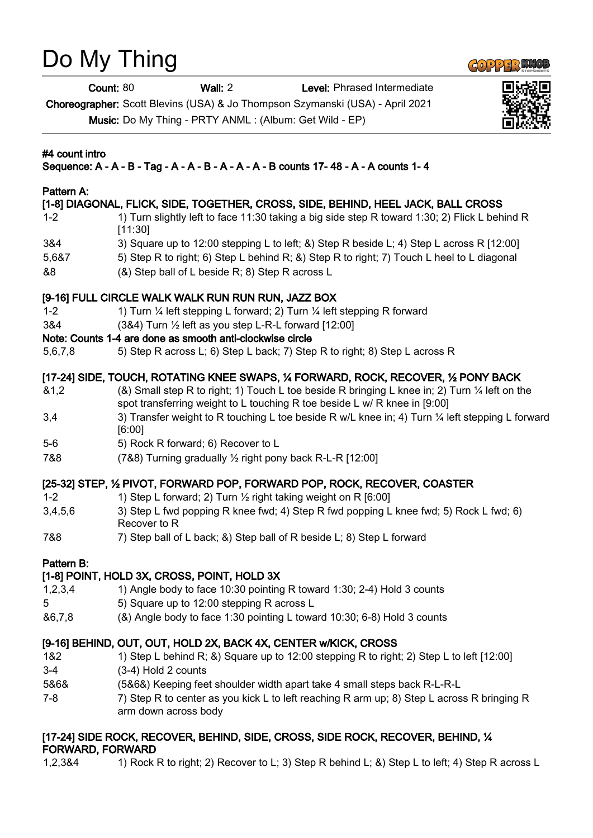# Do My Thing

Count: 80 Wall: 2 Level: Phrased Intermediate

Choreographer: Scott Blevins (USA) & Jo Thompson Szymanski (USA) - April 2021 Music: Do My Thing - PRTY ANML : (Album: Get Wild - EP)

## #4 count intro

## Sequence: A - A - B - Tag - A - A - B - A - A - A - B counts 17- 48 - A - A counts 1- 4

## Pattern A:

#### [1-8] DIAGONAL, FLICK, SIDE, TOGETHER, CROSS, SIDE, BEHIND, HEEL JACK, BALL CROSS

- 1-2 1) Turn slightly left to face 11:30 taking a big side step R toward 1:30; 2) Flick L behind R [11:30]
- 3&4 3) Square up to 12:00 stepping L to left; &) Step R beside L; 4) Step L across R [12:00]
- 5,6&7 5) Step R to right; 6) Step L behind R; &) Step R to right; 7) Touch L heel to L diagonal
- &8 (&) Step ball of L beside R; 8) Step R across L

## [9-16] FULL CIRCLE WALK WALK RUN RUN RUN, JAZZ BOX

- 1-2 1) Turn ¼ left stepping L forward; 2) Turn ¼ left stepping R forward
- 3&4 (3&4) Turn ½ left as you step L-R-L forward [12:00]

## Note: Counts 1-4 are done as smooth anti-clockwise circle

5,6,7,8 5) Step R across L; 6) Step L back; 7) Step R to right; 8) Step L across R

## [17-24] SIDE, TOUCH, ROTATING KNEE SWAPS, 1/4 FORWARD, ROCK, RECOVER, 1/2 PONY BACK

- &1,2 (&) Small step R to right; 1) Touch L toe beside R bringing L knee in; 2) Turn ¼ left on the spot transferring weight to L touching R toe beside L w/ R knee in [9:00]
- 3,4 3) Transfer weight to R touching L toe beside R w/L knee in; 4) Turn ¼ left stepping L forward [6:00]
- 5-6 5) Rock R forward; 6) Recover to L
- 7&8 (7&8) Turning gradually ½ right pony back R-L-R [12:00]

## [25-32] STEP, ½ PIVOT, FORWARD POP, FORWARD POP, ROCK, RECOVER, COASTER

- 1-2 1) Step L forward; 2) Turn 1/2 right taking weight on R [6:00]
- 3,4,5,6 3) Step L fwd popping R knee fwd; 4) Step R fwd popping L knee fwd; 5) Rock L fwd; 6) Recover to R
- 7&8 7) Step ball of L back; &) Step ball of R beside L; 8) Step L forward

## Pattern B:

## [1-8] POINT, HOLD 3X, CROSS, POINT, HOLD 3X

- 1,2,3,4 1) Angle body to face 10:30 pointing R toward 1:30; 2-4) Hold 3 counts 5 5) Square up to 12:00 stepping R across L
- &6,7,8 (&) Angle body to face 1:30 pointing L toward 10:30; 6-8) Hold 3 counts

## [9-16] BEHIND, OUT, OUT, HOLD 2X, BACK 4X, CENTER w/KICK, CROSS

- 1&2 1) Step L behind R; &) Square up to 12:00 stepping R to right; 2) Step L to left [12:00]
- 3-4 (3-4) Hold 2 counts
- 5&6& (5&6&) Keeping feet shoulder width apart take 4 small steps back R-L-R-L
- 7-8 7.8 The B T Step R to center as you kick L to left reaching R arm up; 8) Step L across R bringing R arm down across body

## [17-24] SIDE ROCK, RECOVER, BEHIND, SIDE, CROSS, SIDE ROCK, RECOVER, BEHIND, ¼ FORWARD, FORWARD

1,2,3&4 1) Rock R to right; 2) Recover to L; 3) Step R behind L; &) Step L to left; 4) Step R across L